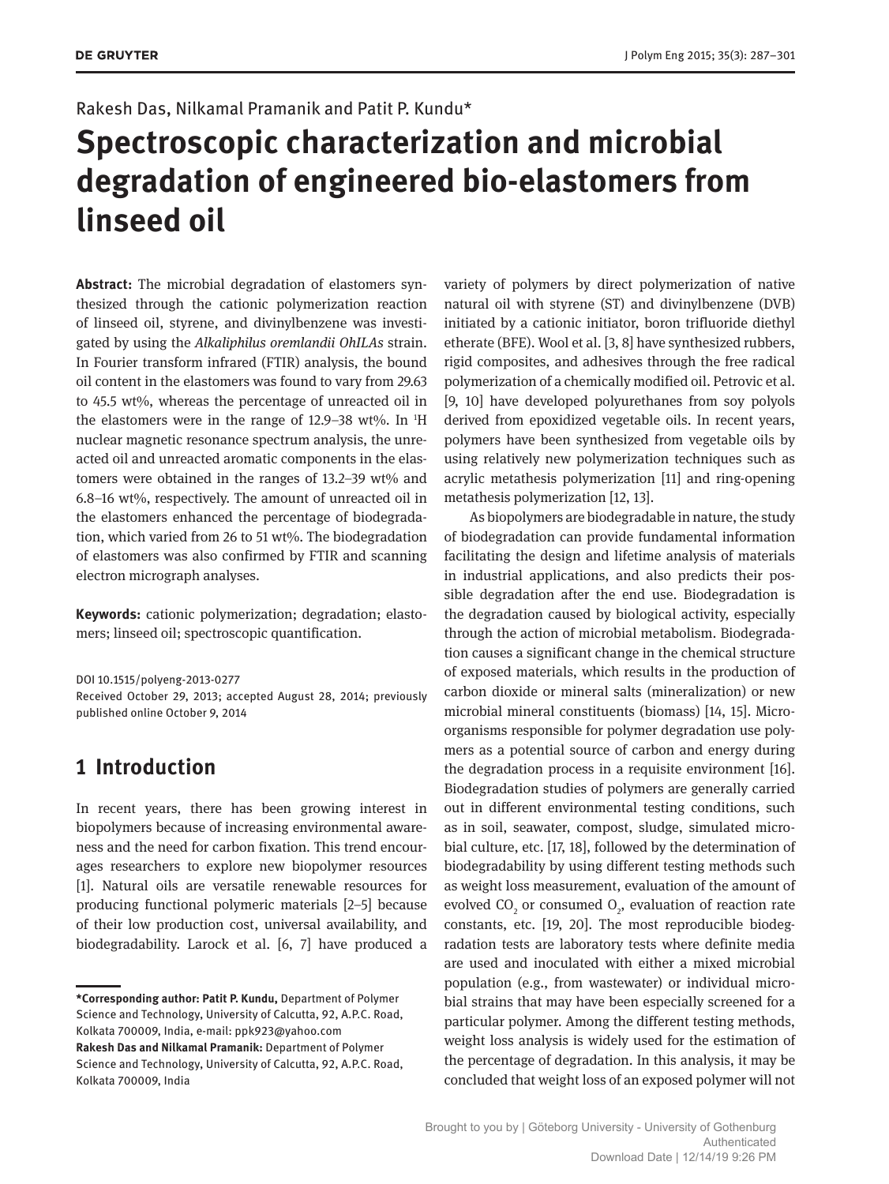#### Rakesh Das, Nilkamal Pramanik and Patit P. Kundu\*

# **Spectroscopic characterization and microbial degradation of engineered bio-elastomers from linseed oil**

**Abstract:** The microbial degradation of elastomers synthesized through the cationic polymerization reaction of linseed oil, styrene, and divinylbenzene was investigated by using the *Alkaliphilus oremlandii OhILAs* strain. In Fourier transform infrared (FTIR) analysis, the bound oil content in the elastomers was found to vary from 29.63 to 45.5 wt%, whereas the percentage of unreacted oil in the elastomers were in the range of  $12.9-38$  wt%. In  $\mathrm{H}$ nuclear magnetic resonance spectrum analysis, the unreacted oil and unreacted aromatic components in the elastomers were obtained in the ranges of 13.2–39 wt% and 6.8–16 wt%, respectively. The amount of unreacted oil in the elastomers enhanced the percentage of biodegradation, which varied from 26 to 51 wt%. The biodegradation of elastomers was also confirmed by FTIR and scanning electron micrograph analyses.

**Keywords:** cationic polymerization; degradation; elastomers; linseed oil; spectroscopic quantification.

DOI 10.1515/polyeng-2013-0277 Received October 29, 2013; accepted August 28, 2014; previously published online October 9, 2014

# **1 Introduction**

In recent years, there has been growing interest in biopoly mers because of increasing environmental awareness and the need for carbon fixation. This trend encourages researchers to explore new biopolymer resources [1]. Natural oils are versatile renewable resources for producing functional polymeric materials [2–5] because of their low production cost, universal availability, and biodegrad ability. Larock et al. [6, 7] have produced a variety of polymers by direct polymerization of native natural oil with styrene (ST) and divinylbenzene (DVB) initiated by a cationic initiator, boron trifluoride diethyl etherate (BFE). Wool et al. [3, 8] have synthesized rubbers, rigid composites, and adhesives through the free radical polymerization of a chemically modified oil. Petrovic et al. [9, 10] have developed polyurethanes from soy polyols derived from epoxidized vegetable oils. In recent years, polymers have been synthesized from vegetable oils by using relatively new polymerization techniques such as acrylic metathesis polymerization [11] and ring-opening metathesis polymerization [12, 13].

As biopolymers are biodegradable in nature, the study of biodegradation can provide fundamental information facilitating the design and lifetime analysis of materials in industrial applications, and also predicts their possible degradation after the end use. Biodegradation is the degradation caused by biological activity, especially through the action of microbial metabolism. Biodegradation causes a significant change in the chemical structure of exposed materials, which results in the production of carbon dioxide or mineral salts (mineralization) or new microbial mineral constituents (biomass) [14, 15]. Microorganisms responsible for polymer degradation use polymers as a potential source of carbon and energy during the degradation process in a requisite environment [16]. Biodegradation studies of polymers are generally carried out in different environmental testing conditions, such as in soil, seawater, compost, sludge, simulated microbial culture, etc. [17, 18], followed by the determination of biodegradability by using different testing methods such as weight loss measurement, evaluation of the amount of evolved  $CO_2$  or consumed  $O_2$ , evaluation of reaction rate constants, etc. [19, 20]. The most reproducible biodegradation tests are laboratory tests where definite media are used and inoculated with either a mixed microbial population (e.g., from wastewater) or individual microbial strains that may have been especially screened for a particular polymer. Among the different testing methods, weight loss analysis is widely used for the estimation of the percentage of degradation. In this analysis, it may be concluded that weight loss of an exposed polymer will not

**<sup>\*</sup>Corresponding author: Patit P. Kundu,** Department of Polymer Science and Technology, University of Calcutta, 92, A.P.C. Road, Kolkata 700009, India, e-mail: ppk923@yahoo.com

**Rakesh Das and Nilkamal Pramanik:** Department of Polymer Science and Technology, University of Calcutta, 92, A.P.C. Road, Kolkata 700009, India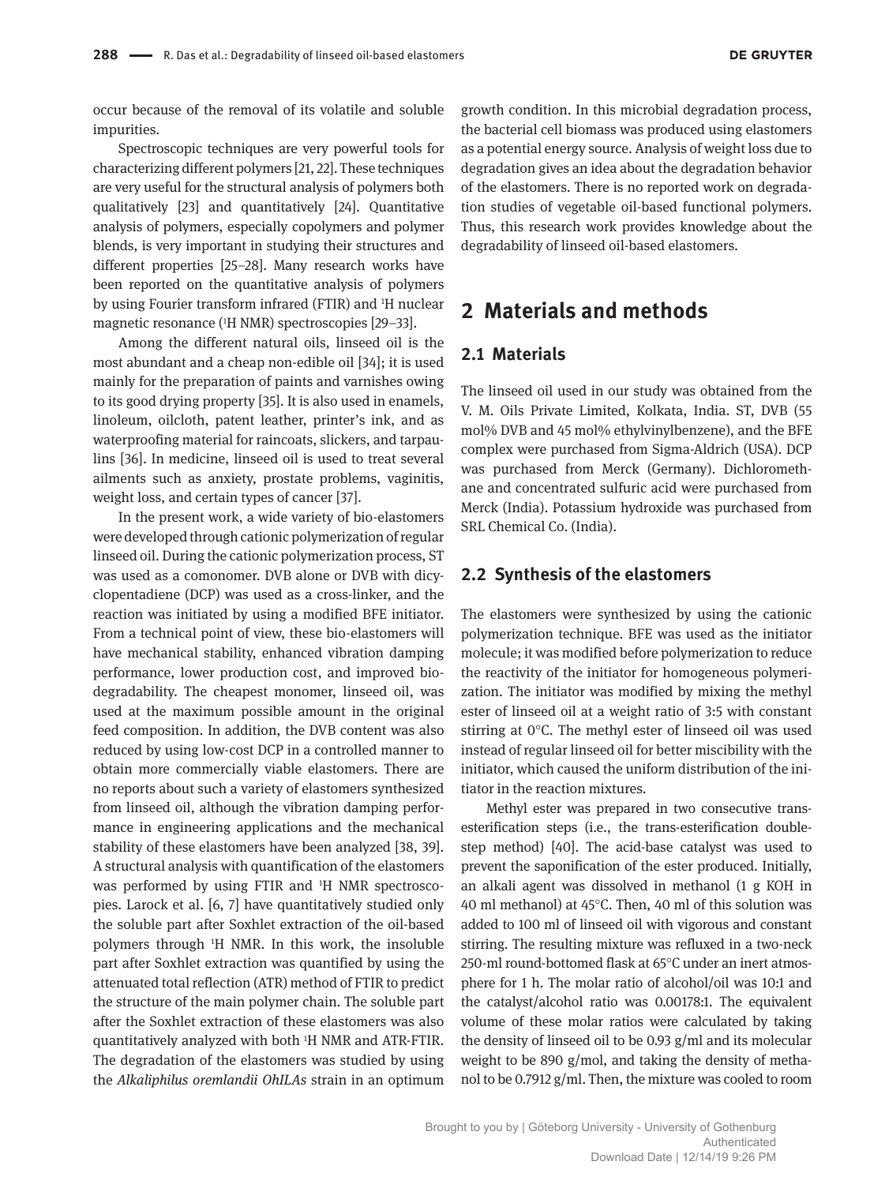occur because of the removal of its volatile and soluble impurities.

Spectroscopic techniques are very powerful tools for characterizing different polymers [21, 22]. These techniques are very useful for the structural analysis of polymers both qualitatively [23] and quantitatively [24]. Quantitative analysis of polymers, especially copolymers and polymer blends, is very important in studying their structures and different properties [25–28]. Many research works have been reported on the quantitative analysis of polymers by using Fourier transform infrared (FTIR) and 1H nuclear magnetic resonance (1H NMR) spectroscopies [29–33].

Among the different natural oils, linseed oil is the most abundant and a cheap non-edible oil [34]; it is used mainly for the preparation of paints and varnishes owing to its good drying property [35]. It is also used in enamels, linoleum, oilcloth, patent leather, printer's ink, and as waterproofing material for raincoats, slickers, and tarpaulins [36]. In medicine, linseed oil is used to treat several ailments such as anxiety, prostate problems, vaginitis, weight loss, and certain types of cancer [37].

In the present work, a wide variety of bio-elastomers were developed through cationic polymerization of regular linseed oil. During the cationic polymerization process, ST was used as a comonomer. DVB alone or DVB with dicyclopentadiene (DCP) was used as a cross-linker, and the reaction was initiated by using a modified BFE initiator. From a technical point of view, these bio-elastomers will have mechanical stability, enhanced vibration damping performance, lower production cost, and improved biodegradability. The cheapest monomer, linseed oil, was used at the maximum possible amount in the original feed composition. In addition, the DVB content was also reduced by using low-cost DCP in a controlled manner to obtain more commercially viable elastomers. There are no reports about such a variety of elastomers synthesized from linseed oil, although the vibration damping performance in engineering applications and the mechanical stability of these elastomers have been analyzed [38, 39]. A structural analysis with quantification of the elastomers was performed by using FTIR and <sup>1</sup>H NMR spectroscopies. Larock et al. [6, 7] have quantitatively studied only the soluble part after Soxhlet extraction of the oil-based polymers through 1H NMR. In this work, the insoluble part after Soxhlet extraction was quantified by using the attenuated total reflection (ATR) method of FTIR to predict the structure of the main polymer chain. The soluble part after the Soxhlet extraction of these elastomers was also quantitatively analyzed with both 1H NMR and ATR-FTIR. The degradation of the elastomers was studied by using the *Alkaliphilus oremlandii OhILAs* strain in an optimum

growth condition. In this microbial degradation process, the bacterial cell biomass was produced using elastomers as a potential energy source. Analysis of weight loss due to degradation gives an idea about the degradation behavior of the elastomers. There is no reported work on degradation studies of vegetable oil-based functional polymers. Thus, this research work provides knowledge about the degradability of linseed oil-based elastomers.

# **2 Materials and methods**

### **2.1 Materials**

The linseed oil used in our study was obtained from the V. M. Oils Private Limited, Kolkata, India. ST, DVB (55 mol% DVB and 45 mol% ethylvinylbenzene), and the BFE complex were purchased from Sigma-Aldrich (USA). DCP was purchased from Merck (Germany). Dichloromethane and concentrated sulfuric acid were purchased from Merck (India). Potassium hydroxide was purchased from SRL Chemical Co. (India).

#### **2.2 Synthesis of the elastomers**

The elastomers were synthesized by using the cationic polymerization technique. BFE was used as the initiator molecule; it was modified before polymerization to reduce the reactivity of the initiator for homogeneous polymerization. The initiator was modified by mixing the methyl ester of linseed oil at a weight ratio of 3:5 with constant stirring at 0°C. The methyl ester of linseed oil was used instead of regular linseed oil for better miscibility with the initiator, which caused the uniform distribution of the initiator in the reaction mixtures.

Methyl ester was prepared in two consecutive transesterification steps (i.e., the trans-esterification doublestep method) [40]. The acid-base catalyst was used to prevent the saponification of the ester produced. Initially, an alkali agent was dissolved in methanol (1 g KOH in 40 ml methanol) at 45°C. Then, 40 ml of this solution was added to 100 ml of linseed oil with vigorous and constant stirring. The resulting mixture was refluxed in a two-neck 250-ml round-bottomed flask at 65°C under an inert atmosphere for 1 h. The molar ratio of alcohol/oil was 10:1 and the catalyst/alcohol ratio was 0.00178:1. The equivalent volume of these molar ratios were calculated by taking the density of linseed oil to be 0.93 g/ml and its molecular weight to be 890 g/mol, and taking the density of methanol to be 0.7912 g/ml. Then, the mixture was cooled to room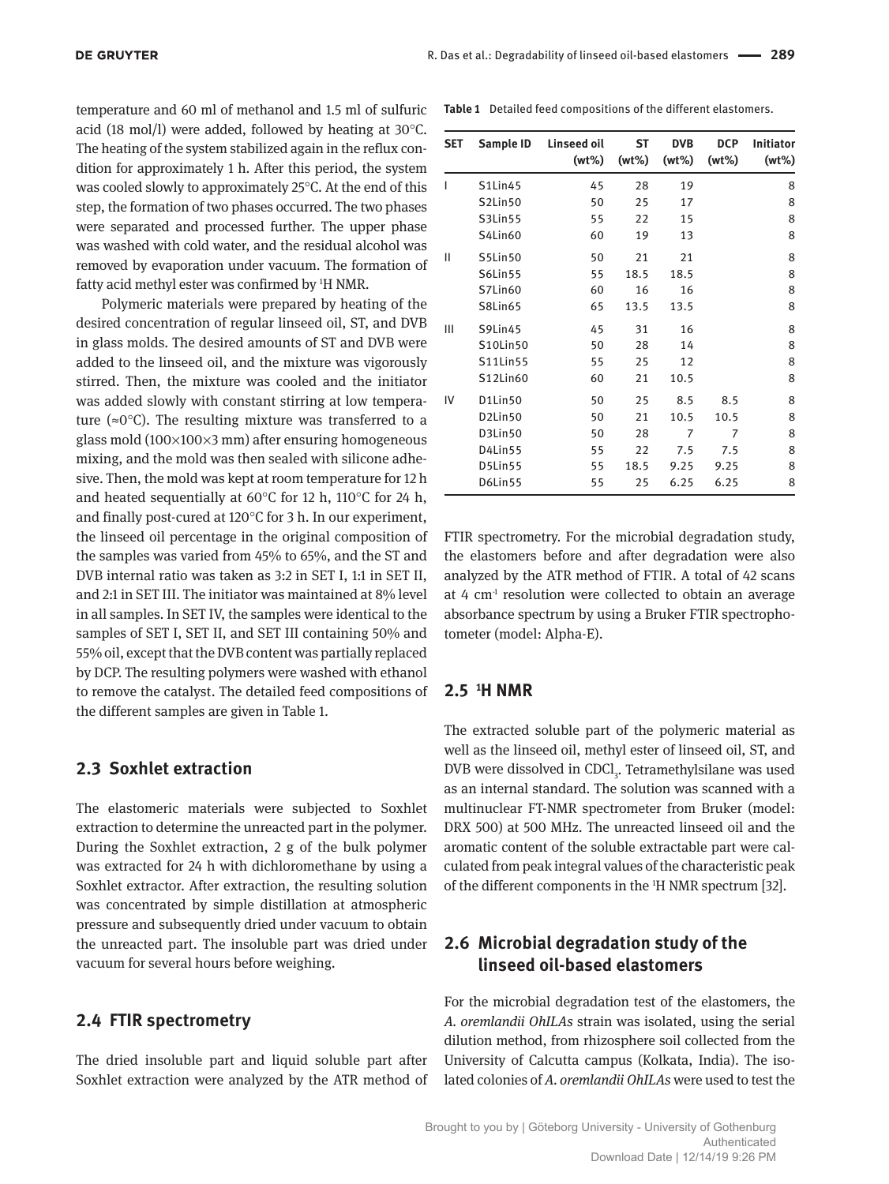temperature and 60 ml of methanol and 1.5 ml of sulfuric acid (18 mol/l) were added, followed by heating at 30°C. The heating of the system stabilized again in the reflux condition for approximately 1 h. After this period, the system was cooled slowly to approximately 25°C. At the end of this step, the formation of two phases occurred. The two phases were separated and processed further. The upper phase was washed with cold water, and the residual alcohol was removed by evaporation under vacuum. The formation of fatty acid methyl ester was confirmed by <sup>1</sup>H NMR.

Polymeric materials were prepared by heating of the desired concentration of regular linseed oil, ST, and DVB in glass molds. The desired amounts of ST and DVB were added to the linseed oil, and the mixture was vigorously stirred. Then, the mixture was cooled and the initiator was added slowly with constant stirring at low temperature ( $\approx 0^{\circ}$ C). The resulting mixture was transferred to a glass mold  $(100 \times 100 \times 3$  mm) after ensuring homogeneous mixing, and the mold was then sealed with silicone adhesive. Then, the mold was kept at room temperature for 12 h and heated sequentially at 60°C for 12 h, 110°C for 24 h, and finally post-cured at 120°C for 3 h. In our experiment, the linseed oil percentage in the original composition of the samples was varied from 45% to 65%, and the ST and DVB internal ratio was taken as 3:2 in SET I, 1:1 in SET II, and 2:1 in SET III. The initiator was maintained at 8% level in all samples. In SET IV, the samples were identical to the samples of SET I, SET II, and SET III containing 50% and 55% oil, except that the DVB content was partially replaced by DCP. The resulting polymers were washed with ethanol to remove the catalyst. The detailed feed compositions of the different samples are given in Table 1.

### **2.3 Soxhlet extraction**

The elastomeric materials were subjected to Soxhlet extraction to determine the unreacted part in the polymer. During the Soxhlet extraction, 2 g of the bulk polymer was extracted for 24 h with dichloromethane by using a Soxhlet extractor. After extraction, the resulting solution was concentrated by simple distillation at atmospheric pressure and subsequently dried under vacuum to obtain the unreacted part. The insoluble part was dried under vacuum for several hours before weighing.

#### **2.4 FTIR spectrometry**

The dried insoluble part and liquid soluble part after Soxhlet extraction were analyzed by the ATR method of

**Table 1** Detailed feed compositions of the different elastomers.

| SET | Sample ID                        | Linseed oil<br>$(wt\%)$ | ST<br>$(wt\%)$ | <b>DVB</b><br>$(wt\%)$ | <b>DCP</b><br>$(wt\%)$ | <b>Initiator</b><br>$(wt\%)$ |
|-----|----------------------------------|-------------------------|----------------|------------------------|------------------------|------------------------------|
| I   | <b>S1Lin45</b>                   | 45                      | 28             | 19                     |                        | 8                            |
|     | S2Lin50                          | 50                      | 25             | 17                     |                        | 8                            |
|     | S3Lin55                          | 55                      | 22             | 15                     |                        | 8                            |
|     | S4Lin60                          | 60                      | 19             | 13                     |                        | 8                            |
| Ш   | S5Lin50                          | 50                      | 21             | 21                     |                        | 8                            |
|     | <b>S6Lin55</b>                   | 55                      | 18.5           | 18.5                   |                        | 8                            |
|     | S7Lin60                          | 60                      | 16             | 16                     |                        | 8                            |
|     | <b>S8Lin65</b>                   | 65                      | 13.5           | 13.5                   |                        | 8                            |
| Ш   | S9Lin45                          | 45                      | 31             | 16                     |                        | 8                            |
|     | S10Lin50                         | 50                      | 28             | 14                     |                        | 8                            |
|     | S11Lin55                         | 55                      | 25             | 12                     |                        | 8                            |
|     | S12Lin60                         | 60                      | 21             | 10.5                   |                        | 8                            |
| IV  | D1Lin50                          | 50                      | 25             | 8.5                    | 8.5                    | 8                            |
|     | D <sub>2</sub> Lin <sub>50</sub> | 50                      | 21             | 10.5                   | 10.5                   | 8                            |
|     | D3Lin50                          | 50                      | 28             | 7                      | 7                      | 8                            |
|     | D4Lin55                          | 55                      | 22             | 7.5                    | 7.5                    | 8                            |
|     | D5Lin55                          | 55                      | 18.5           | 9.25                   | 9.25                   | 8                            |
|     | D6Lin55                          | 55                      | 25             | 6.25                   | 6.25                   | 8                            |

FTIR spectrometry. For the microbial degradation study, the elastomers before and after degradation were also analyzed by the ATR method of FTIR. A total of 42 scans at 4  $cm<sup>1</sup>$  resolution were collected to obtain an average absorbance spectrum by using a Bruker FTIR spectrophotometer (model: Alpha-E).

#### **2.5 <sup>1</sup>H NMR**

The extracted soluble part of the polymeric material as well as the linseed oil, methyl ester of linseed oil, ST, and DVB were dissolved in CDCl<sub>3</sub>. Tetramethylsilane was used as an internal standard. The solution was scanned with a multinuclear FT-NMR spectrometer from Bruker (model: DRX 500) at 500 MHz. The unreacted linseed oil and the aromatic content of the soluble extractable part were calculated from peak integral values of the characteristic peak of the different components in the 1H NMR spectrum [32].

### **2.6 Microbial degradation study of the linseed oil-based elastomers**

For the microbial degradation test of the elastomers, the *A. oremlandii OhILAs* strain was isolated, using the serial dilution method, from rhizosphere soil collected from the University of Calcutta campus (Kolkata, India). The isolated colonies of *A. oremlandii OhILAs* were used to test the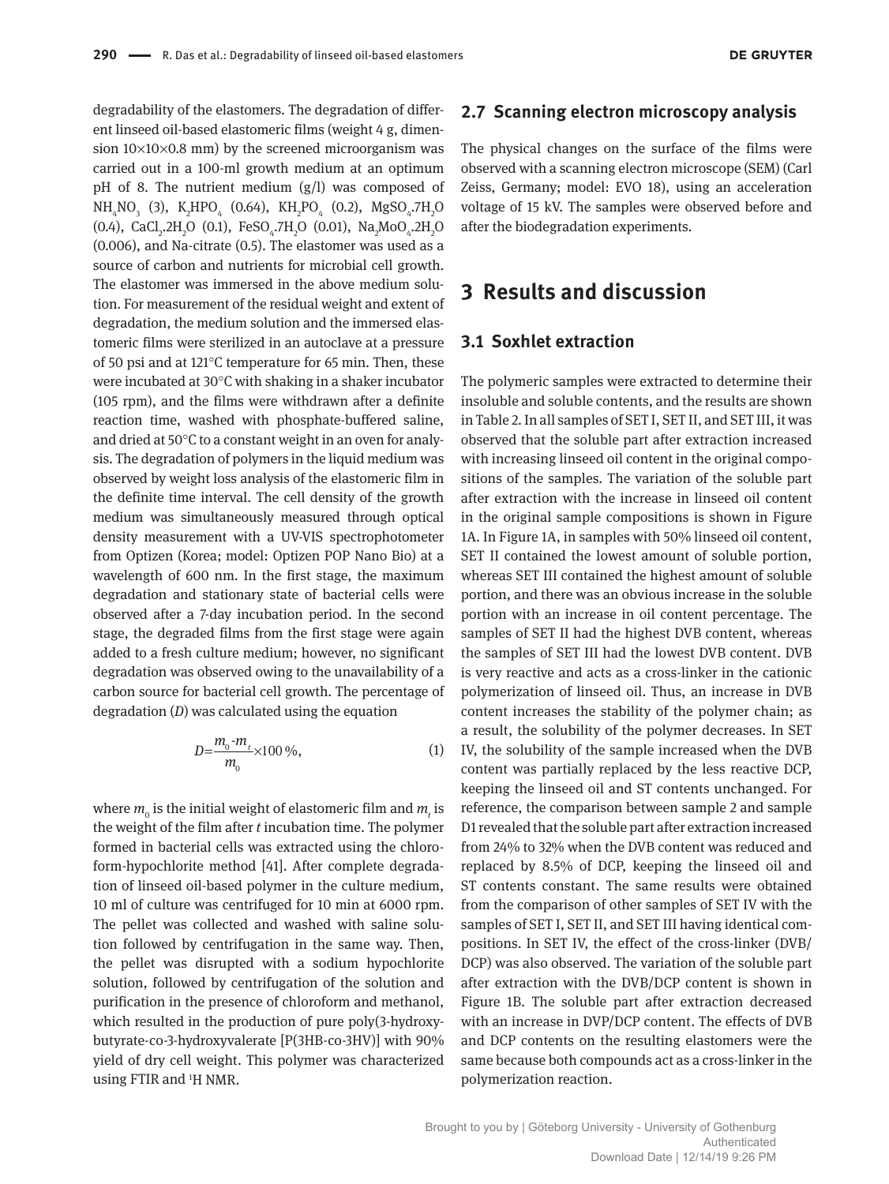degradability of the elastomers. The degradation of different linseed oil-based elastomeric films (weight 4 g, dimension  $10 \times 10 \times 0.8$  mm) by the screened microorganism was carried out in a 100-ml growth medium at an optimum pH of 8. The nutrient medium (g/l) was composed of  $NH_4NO_3$  (3),  $K_2HPO_4$  (0.64),  $KH_2PO_4$  (0.2),  $MgSO_4.7H_2O$ (0.4), CaCl<sub>2</sub>.2H<sub>2</sub>O (0.1), FeSO<sub>4</sub>.7H<sub>2</sub>O (0.01), Na<sub>2</sub>MoO<sub>4</sub>.2H<sub>2</sub>O (0.006), and Na-citrate (0.5). The elastomer was used as a source of carbon and nutrients for microbial cell growth. The elastomer was immersed in the above medium solution. For measurement of the residual weight and extent of degradation, the medium solution and the immersed elastomeric films were sterilized in an autoclave at a pressure of 50 psi and at 121°C temperature for 65 min. Then, these were incubated at 30°C with shaking in a shaker incubator (105 rpm), and the films were withdrawn after a definite reaction time, washed with phosphate-buffered saline, and dried at 50°C to a constant weight in an oven for analysis. The degradation of polymers in the liquid medium was observed by weight loss analysis of the elastomeric film in the definite time interval. The cell density of the growth medium was simultaneously measured through optical density measurement with a UV-VIS spectrophotometer from Optizen (Korea; model: Optizen POP Nano Bio) at a wavelength of 600 nm. In the first stage, the maximum degradation and stationary state of bacterial cells were observed after a 7-day incubation period. In the second stage, the degraded films from the first stage were again added to a fresh culture medium; however, no significant degradation was observed owing to the unavailability of a carbon source for bacterial cell growth. The percentage of degradation (*D*) was calculated using the equation

$$
D = \frac{m_0 - m_t}{m_0} \times 100\,\%
$$
\n(1)

where  $m_{_0}$  is the initial weight of elastomeric film and  $m_{_t}$  is the weight of the film after *t* incubation time. The polymer formed in bacterial cells was extracted using the chloroform-hypochlorite method [41]. After complete degradation of linseed oil-based polymer in the culture medium, 10 ml of culture was centrifuged for 10 min at 6000 rpm. The pellet was collected and washed with saline solution followed by centrifugation in the same way. Then, the pellet was disrupted with a sodium hypochlorite solution, followed by centrifugation of the solution and purification in the presence of chloroform and methanol, which resulted in the production of pure poly(3-hydroxybutyrate-co-3-hydroxyvalerate [P(3HB-co-3HV)] with 90% yield of dry cell weight. This polymer was characterized using FTIR and 1H NMR.

#### **2.7 Scanning electron microscopy analysis**

The physical changes on the surface of the films were observed with a scanning electron microscope (SEM) (Carl Zeiss, Germany; model: EVO 18), using an acceleration voltage of 15 kV. The samples were observed before and after the biodegradation experiments.

# **3 Results and discussion**

#### **3.1 Soxhlet extraction**

The polymeric samples were extracted to determine their insoluble and soluble contents, and the results are shown in Table 2. In all samples of SET I, SET II, and SET III, it was observed that the soluble part after extraction increased with increasing linseed oil content in the original compositions of the samples. The variation of the soluble part after extraction with the increase in linseed oil content in the original sample compositions is shown in Figure 1A. In Figure 1A, in samples with 50% linseed oil content, SET II contained the lowest amount of soluble portion, whereas SET III contained the highest amount of soluble portion, and there was an obvious increase in the soluble portion with an increase in oil content percentage. The samples of SET II had the highest DVB content, whereas the samples of SET III had the lowest DVB content. DVB is very reactive and acts as a cross-linker in the cationic polymerization of linseed oil. Thus, an increase in DVB content increases the stability of the polymer chain; as a result, the solubility of the polymer decreases. In SET IV, the solubility of the sample increased when the DVB content was partially replaced by the less reactive DCP, keeping the linseed oil and ST contents unchanged. For reference, the comparison between sample 2 and sample D1 revealed that the soluble part after extraction increased from 24% to 32% when the DVB content was reduced and replaced by 8.5% of DCP, keeping the linseed oil and ST contents constant. The same results were obtained from the comparison of other samples of SET IV with the samples of SET I, SET II, and SET III having identical compositions. In SET IV, the effect of the cross-linker (DVB/ DCP) was also observed. The variation of the soluble part after extraction with the DVB/DCP content is shown in Figure 1B. The soluble part after extraction decreased with an increase in DVP/DCP content. The effects of DVB and DCP contents on the resulting elastomers were the same because both compounds act as a cross-linker in the polymerization reaction.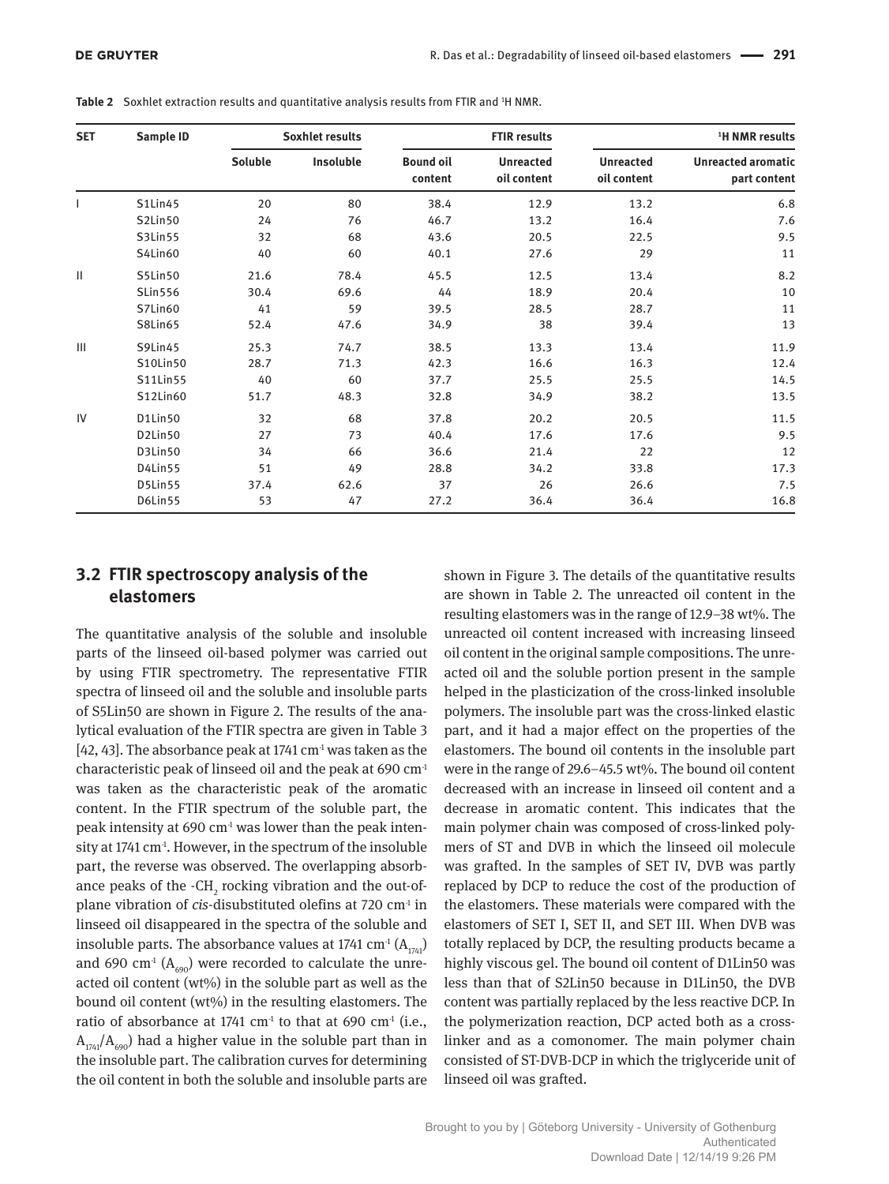| <b>SET</b>     | <b>Sample ID</b> |         | <b>Soxhlet results</b> |                             | <b>FTIR results</b>             | <sup>1</sup> H NMR results      |                                           |  |
|----------------|------------------|---------|------------------------|-----------------------------|---------------------------------|---------------------------------|-------------------------------------------|--|
|                |                  | Soluble | Insoluble              | <b>Bound oil</b><br>content | <b>Unreacted</b><br>oil content | <b>Unreacted</b><br>oil content | <b>Unreacted aromatic</b><br>part content |  |
|                | <b>S1Lin45</b>   | 20      | 80                     | 38.4                        | 12.9                            | 13.2                            | 6.8                                       |  |
|                | S2Lin50          | 24      | 76                     | 46.7                        | 13.2                            | 16.4                            | 7.6                                       |  |
|                | S3Lin55          | 32      | 68                     | 43.6                        | 20.5                            | 22.5                            | 9.5                                       |  |
|                | S4Lin60          | 40      | 60                     | 40.1                        | 27.6                            | 29                              | 11                                        |  |
| $\mathbf{H}$   | S5Lin50          | 21.6    | 78.4                   | 45.5                        | 12.5                            | 13.4                            | 8.2                                       |  |
|                | <b>SLin556</b>   | 30.4    | 69.6                   | 44                          | 18.9                            | 20.4                            | 10                                        |  |
|                | S7Lin60          | 41      | 59                     | 39.5                        | 28.5                            | 28.7                            | 11                                        |  |
|                | S8Lin65          | 52.4    | 47.6                   | 34.9                        | 38                              | 39.4                            | 13                                        |  |
| $\mathbf{III}$ | S9Lin45          | 25.3    | 74.7                   | 38.5                        | 13.3                            | 13.4                            | 11.9                                      |  |
|                | S10Lin50         | 28.7    | 71.3                   | 42.3                        | 16.6                            | 16.3                            | 12.4                                      |  |
|                | S11Lin55         | 40      | 60                     | 37.7                        | 25.5                            | 25.5                            | 14.5                                      |  |
|                | S12Lin60         | 51.7    | 48.3                   | 32.8                        | 34.9                            | 38.2                            | 13.5                                      |  |
| IV             | D1Lin50          | 32      | 68                     | 37.8                        | 20.2                            | 20.5                            | 11.5                                      |  |
|                | D2Lin50          | 27      | 73                     | 40.4                        | 17.6                            | 17.6                            | 9.5                                       |  |
|                | D3Lin50          | 34      | 66                     | 36.6                        | 21.4                            | 22                              | 12                                        |  |
|                | D4Lin55          | 51      | 49                     | 28.8                        | 34.2                            | 33.8                            | 17.3                                      |  |
|                | D5Lin55          | 37.4    | 62.6                   | 37                          | 26                              | 26.6                            | 7.5                                       |  |
|                | D6Lin55          | 53      | 47                     | 27.2                        | 36.4                            | 36.4                            | 16.8                                      |  |

Table 2 Soxhlet extraction results and quantitative analysis results from FTIR and <sup>1</sup>H NMR.

### **3.2 FTIR spectroscopy analysis of the elastomers**

The quantitative analysis of the soluble and insoluble parts of the linseed oil-based polymer was carried out by using FTIR spectrometry. The representative FTIR spectra of linseed oil and the soluble and insoluble parts of S5Lin50 are shown in Figure 2. The results of the analytical evaluation of the FTIR spectra are given in Table 3 [42, 43]. The absorbance peak at 1741  $\text{cm}^4$  was taken as the characteristic peak of linseed oil and the peak at 690 cm-1 was taken as the characteristic peak of the aromatic content. In the FTIR spectrum of the soluble part, the peak intensity at  $690 \text{ cm}^3$  was lower than the peak intensity at 1741  $cm<sup>1</sup>$ . However, in the spectrum of the insoluble part, the reverse was observed. The overlapping absorbance peaks of the  $\cdot$ CH<sub>2</sub> rocking vibration and the out-ofplane vibration of *cis*-disubstituted olefins at 720 cm<sup>-1</sup> in linseed oil disappeared in the spectra of the soluble and insoluble parts. The absorbance values at 1741 cm<sup>-1</sup>  $(A_{174})$ and 690 cm<sup>-1</sup> ( $A_{690}$ ) were recorded to calculate the unreacted oil content (wt%) in the soluble part as well as the bound oil content (wt%) in the resulting elastomers. The ratio of absorbance at 1741  $\text{cm}^1$  to that at 690  $\text{cm}^1$  (i.e.,  $A_{174}$ / $A_{690}$ ) had a higher value in the soluble part than in the insoluble part. The calibration curves for determining the oil content in both the soluble and insoluble parts are

shown in Figure 3. The details of the quantitative results are shown in Table 2. The unreacted oil content in the resulting elastomers was in the range of 12.9–38 wt%. The unreacted oil content increased with increasing linseed oil content in the original sample compositions. The unreacted oil and the soluble portion present in the sample helped in the plasticization of the cross-linked insoluble polymers. The insoluble part was the cross-linked elastic part, and it had a major effect on the properties of the elastomers. The bound oil contents in the insoluble part were in the range of 29.6–45.5 wt%. The bound oil content decreased with an increase in linseed oil content and a decrease in aromatic content. This indicates that the main polymer chain was composed of cross-linked polymers of ST and DVB in which the linseed oil molecule was grafted. In the samples of SET IV, DVB was partly replaced by DCP to reduce the cost of the production of the elastomers. These materials were compared with the elastomers of SET I, SET II, and SET III. When DVB was totally replaced by DCP, the resulting products became a highly viscous gel. The bound oil content of D1Lin50 was less than that of S2Lin50 because in D1Lin50, the DVB content was partially replaced by the less reactive DCP. In the polymerization reaction, DCP acted both as a crosslinker and as a comonomer. The main polymer chain consisted of ST-DVB-DCP in which the triglyceride unit of linseed oil was grafted.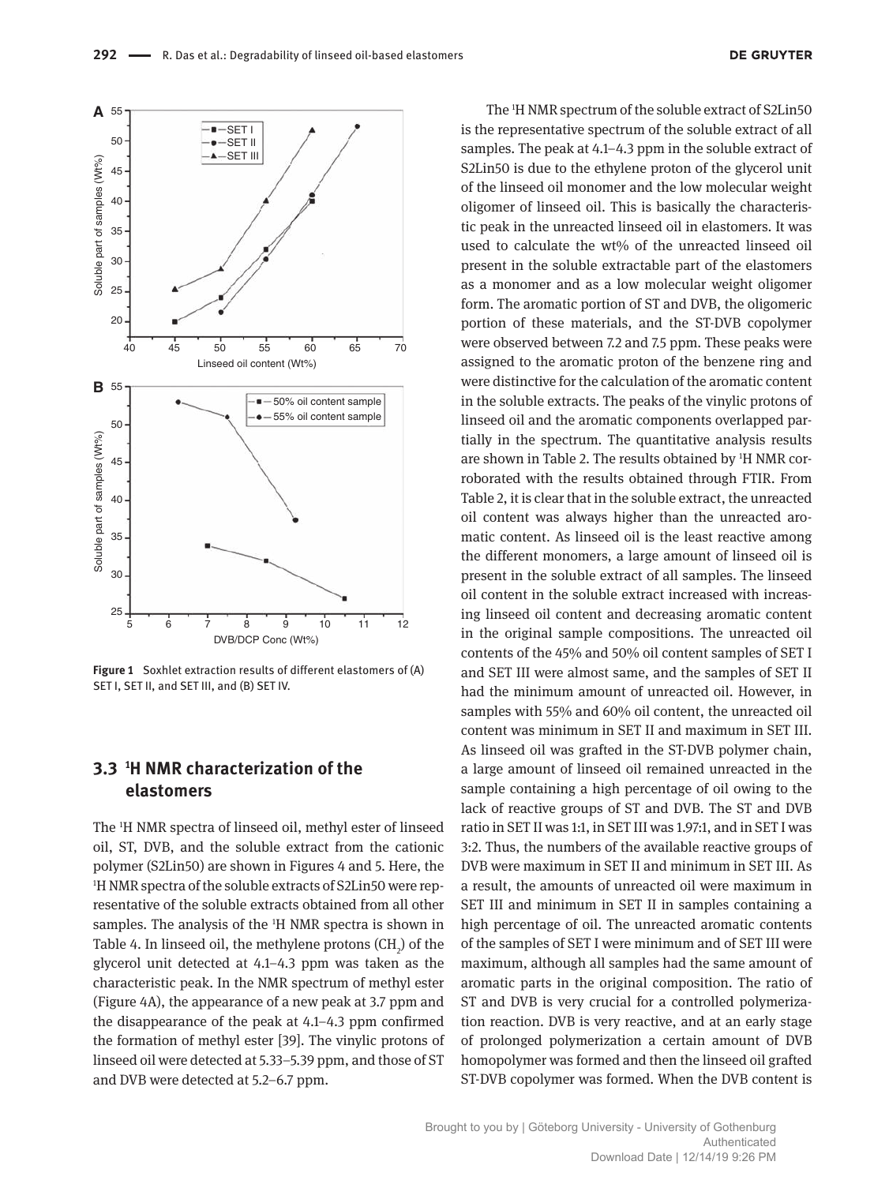

**Figure 1** Soxhlet extraction results of different elastomers of (A) SET I, SET II, and SET III, and (B) SET IV.

# **3.3 <sup>1</sup>H NMR characterization of the elastomers**

The 1H NMR spectra of linseed oil, methyl ester of linseed oil, ST, DVB, and the soluble extract from the cationic polymer (S2Lin50) are shown in Figures 4 and 5. Here, the <sup>1</sup>H NMR spectra of the soluble extracts of S2Lin50 were representative of the soluble extracts obtained from all other samples. The analysis of the <sup>1</sup>H NMR spectra is shown in Table 4. In linseed oil, the methylene protons  $\text{(CH}_{2}^{\text{}})$  of the glycerol unit detected at 4.1–4.3 ppm was taken as the characteristic peak. In the NMR spectrum of methyl ester (Figure 4A), the appearance of a new peak at 3.7 ppm and the disappearance of the peak at 4.1–4.3 ppm confirmed the formation of methyl ester [39]. The vinylic protons of linseed oil were detected at 5.33–5.39 ppm, and those of ST and DVB were detected at 5.2–6.7 ppm.

The 1H NMR spectrum of the soluble extract of S2Lin50 is the representative spectrum of the soluble extract of all samples. The peak at 4.1–4.3 ppm in the soluble extract of S2Lin50 is due to the ethylene proton of the glycerol unit of the linseed oil monomer and the low molecular weight oligomer of linseed oil. This is basically the characteristic peak in the unreacted linseed oil in elastomers. It was used to calculate the wt% of the unreacted linseed oil present in the soluble extractable part of the elastomers as a monomer and as a low molecular weight oligomer form. The aromatic portion of ST and DVB, the oligomeric portion of these materials, and the ST-DVB copolymer were observed between 7.2 and 7.5 ppm. These peaks were assigned to the aromatic proton of the benzene ring and were distinctive for the calculation of the aromatic content in the soluble extracts. The peaks of the vinylic protons of linseed oil and the aromatic components overlapped partially in the spectrum. The quantitative analysis results are shown in Table 2. The results obtained by <sup>1</sup>H NMR corroborated with the results obtained through FTIR. From Table 2, it is clear that in the soluble extract, the unreacted oil content was always higher than the unreacted aromatic content. As linseed oil is the least reactive among the different monomers, a large amount of linseed oil is present in the soluble extract of all samples. The linseed oil content in the soluble extract increased with increasing linseed oil content and decreasing aromatic content in the original sample compositions. The unreacted oil contents of the 45% and 50% oil content samples of SET I and SET III were almost same, and the samples of SET II had the minimum amount of unreacted oil. However, in samples with 55% and 60% oil content, the unreacted oil content was minimum in SET II and maximum in SET III. As linseed oil was grafted in the ST-DVB polymer chain, a large amount of linseed oil remained unreacted in the sample containing a high percentage of oil owing to the lack of reactive groups of ST and DVB. The ST and DVB ratio in SET II was 1:1, in SET III was 1.97:1, and in SET I was 3:2. Thus, the numbers of the available reactive groups of DVB were maximum in SET II and minimum in SET III. As a result, the amounts of unreacted oil were maximum in SET III and minimum in SET II in samples containing a high percentage of oil. The unreacted aromatic contents of the samples of SET I were minimum and of SET III were maximum, although all samples had the same amount of aromatic parts in the original composition. The ratio of ST and DVB is very crucial for a controlled polymerization reaction. DVB is very reactive, and at an early stage of prolonged polymerization a certain amount of DVB homopolymer was formed and then the linseed oil grafted ST-DVB copolymer was formed. When the DVB content is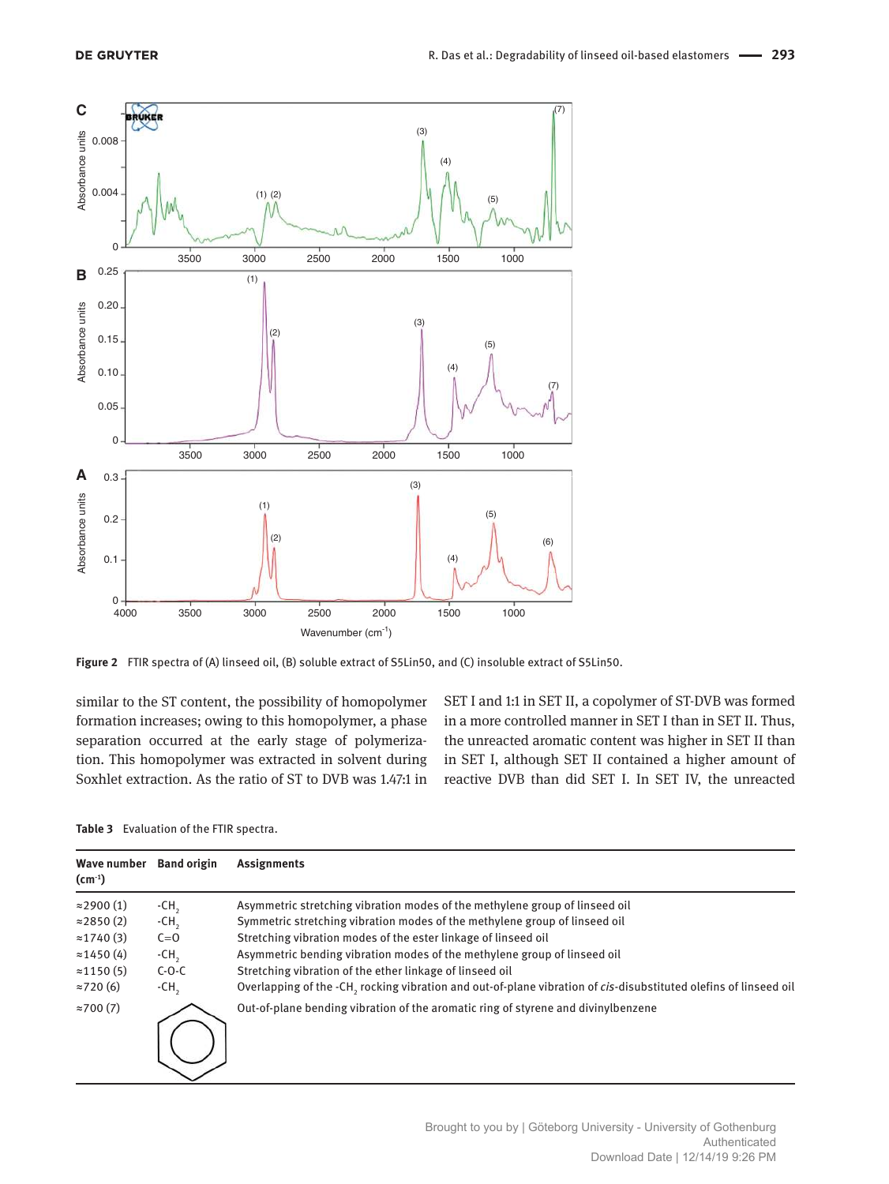

**Figure 2** FTIR spectra of (A) linseed oil, (B) soluble extract of S5Lin50, and (C) insoluble extract of S5Lin50.

similar to the ST content, the possibility of homopolymer formation increases; owing to this homopolymer, a phase separation occurred at the early stage of polymerization. This homopolymer was extracted in solvent during Soxhlet extraction. As the ratio of ST to DVB was 1.47:1 in

SET I and 1:1 in SET II, a copolymer of ST-DVB was formed in a more controlled manner in SET I than in SET II. Thus, the unreacted aromatic content was higher in SET II than in SET I, although SET II contained a higher amount of reactive DVB than did SET I. In SET IV, the unreacted

|  | Table 3 Evaluation of the FTIR spectra. |  |  |  |
|--|-----------------------------------------|--|--|--|
|--|-----------------------------------------|--|--|--|

| Wave number<br>$(cm-1)$ | <b>Band origin</b> | Assignments                                                                                                      |
|-------------------------|--------------------|------------------------------------------------------------------------------------------------------------------|
| $\approx$ 2900 (1)      | $-CH2$             | Asymmetric stretching vibration modes of the methylene group of linseed oil                                      |
| $\approx$ 2850 (2)      | $-CH$              | Symmetric stretching vibration modes of the methylene group of linseed oil                                       |
| $\approx$ 1740 (3)      | $C=0$              | Stretching vibration modes of the ester linkage of linseed oil                                                   |
| $\approx$ 1450 (4)      | $-CH2$             | Asymmetric bending vibration modes of the methylene group of linseed oil                                         |
| $\approx$ 1150 (5)      | $C-O-C$            | Stretching vibration of the ether linkage of linseed oil                                                         |
| $\approx$ 720(6)        | $-CH2$             | Overlapping of the -CH, rocking vibration and out-of-plane vibration of cis-disubstituted olefins of linseed oil |
| $\approx$ 700 $(7)$     |                    | Out-of-plane bending vibration of the aromatic ring of styrene and divinylbenzene                                |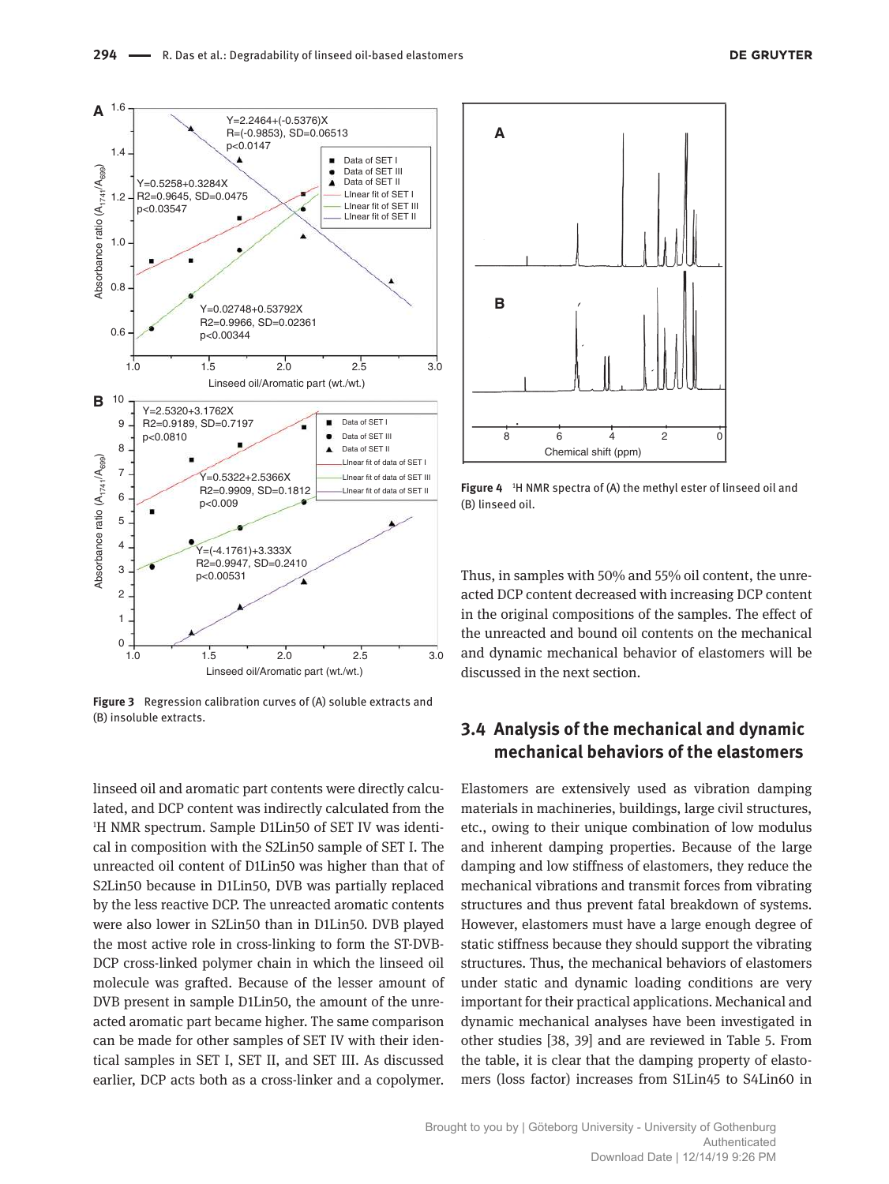

**Figure 3** Regression calibration curves of (A) soluble extracts and (B) insoluble extracts.

linseed oil and aromatic part contents were directly calculated, and DCP content was indirectly calculated from the <sup>1</sup>H NMR spectrum. Sample D1Lin50 of SET IV was identical in composition with the S2Lin50 sample of SET I. The unreacted oil content of D1Lin50 was higher than that of S2Lin50 because in D1Lin50, DVB was partially replaced by the less reactive DCP. The unreacted aromatic contents were also lower in S2Lin50 than in D1Lin50. DVB played the most active role in cross-linking to form the ST-DVB-DCP cross-linked polymer chain in which the linseed oil molecule was grafted. Because of the lesser amount of DVB present in sample D1Lin50, the amount of the unreacted aromatic part became higher. The same comparison can be made for other samples of SET IV with their identical samples in SET I, SET II, and SET III. As discussed earlier, DCP acts both as a cross-linker and a copolymer.



Figure 4 <sup>1</sup>H NMR spectra of (A) the methyl ester of linseed oil and (B) linseed oil.

Thus, in samples with 50% and 55% oil content, the unreacted DCP content decreased with increasing DCP content in the original compositions of the samples. The effect of the unreacted and bound oil contents on the mechanical and dynamic mechanical behavior of elastomers will be discussed in the next section.

# **3.4 Analysis of the mechanical and dynamic mechanical behaviors of the elastomers**

Elastomers are extensively used as vibration damping materials in machineries, buildings, large civil structures, etc., owing to their unique combination of low modulus and inherent damping properties. Because of the large damping and low stiffness of elastomers, they reduce the mechanical vibrations and transmit forces from vibrating structures and thus prevent fatal breakdown of systems. However, elastomers must have a large enough degree of static stiffness because they should support the vibrating structures. Thus, the mechanical behaviors of elastomers under static and dynamic loading conditions are very important for their practical applications. Mechanical and dynamic mechanical analyses have been investigated in other studies [38, 39] and are reviewed in Table 5. From the table, it is clear that the damping property of elastomers (loss factor) increases from S1Lin45 to S4Lin60 in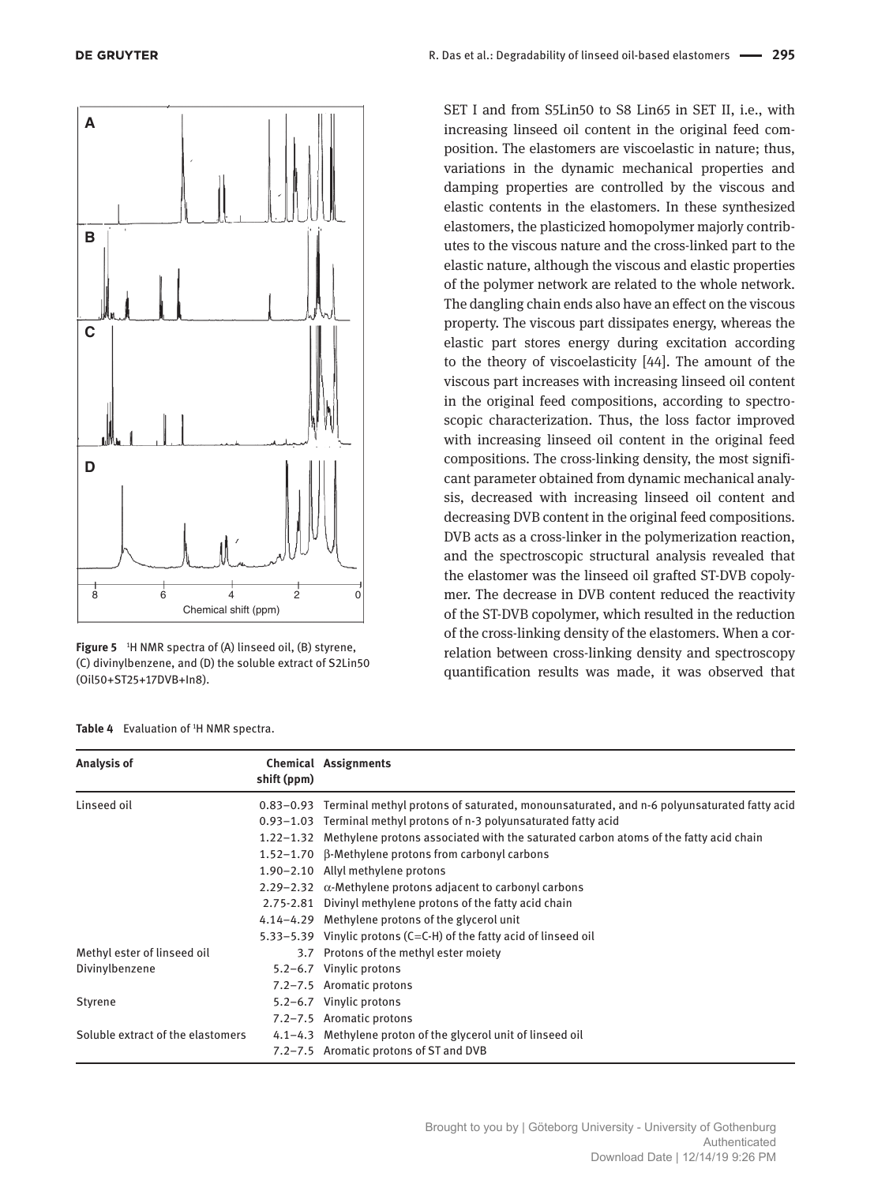

**Figure 5** <sup>1</sup>H NMR spectra of (A) linseed oil, (B) styrene, (C) divinylbenzene, and (D) the soluble extract of S2Lin50 (Oil50+ST25+17DVB+In8).

SET I and from S5Lin50 to S8 Lin65 in SET II, i.e., with increasing linseed oil content in the original feed composition. The elastomers are viscoelastic in nature; thus, variations in the dynamic mechanical properties and damping properties are controlled by the viscous and elastic contents in the elastomers. In these synthesized elastomers, the plasticized homopolymer majorly contributes to the viscous nature and the cross-linked part to the elastic nature, although the viscous and elastic properties of the polymer network are related to the whole network. The dangling chain ends also have an effect on the viscous property. The viscous part dissipates energy, whereas the elastic part stores energy during excitation according to the theory of viscoelasticity [44]. The amount of the viscous part increases with increasing linseed oil content in the original feed compositions, according to spectroscopic characterization. Thus, the loss factor improved with increasing linseed oil content in the original feed compositions. The cross-linking density, the most significant parameter obtained from dynamic mechanical analysis, decreased with increasing linseed oil content and decreasing DVB content in the original feed compositions. DVB acts as a cross-linker in the polymerization reaction, and the spectroscopic structural analysis revealed that the elastomer was the linseed oil grafted ST-DVB copolymer. The decrease in DVB content reduced the reactivity of the ST-DVB copolymer, which resulted in the reduction of the cross-linking density of the elastomers. When a correlation between cross-linking density and spectroscopy quantification results was made, it was observed that

| Analysis of                       | shift (ppm) | <b>Chemical Assignments</b>                                                                         |
|-----------------------------------|-------------|-----------------------------------------------------------------------------------------------------|
| Linseed oil                       |             | 0.83–0.93 Terminal methyl protons of saturated, monounsaturated, and n-6 polyunsaturated fatty acid |
|                                   |             | 0.93–1.03 Terminal methyl protons of n-3 polyunsaturated fatty acid                                 |
|                                   |             | 1.22–1.32 Methylene protons associated with the saturated carbon atoms of the fatty acid chain      |
|                                   |             | 1.52–1.70 B-Methylene protons from carbonyl carbons                                                 |
|                                   |             | 1.90-2.10 Allyl methylene protons                                                                   |
|                                   |             | 2.29–2.32 $\alpha$ -Methylene protons adjacent to carbonyl carbons                                  |
|                                   |             | 2.75-2.81 Divinyl methylene protons of the fatty acid chain                                         |
|                                   |             | 4.14–4.29 Methylene protons of the glycerol unit                                                    |
|                                   |             | 5.33–5.39 Vinylic protons ( $C=C-H$ ) of the fatty acid of linseed oil                              |
| Methyl ester of linseed oil       |             | 3.7 Protons of the methyl ester moiety                                                              |
| Divinylbenzene                    |             | 5.2-6.7 Vinylic protons                                                                             |
|                                   |             | 7.2-7.5 Aromatic protons                                                                            |
| Styrene                           |             | 5.2-6.7 Vinylic protons                                                                             |
|                                   |             | 7.2-7.5 Aromatic protons                                                                            |
| Soluble extract of the elastomers |             | 4.1–4.3 Methylene proton of the glycerol unit of linseed oil                                        |
|                                   |             | 7.2–7.5 Aromatic protons of ST and DVB                                                              |

Table 4 Evaluation of <sup>1</sup>H NMR spectra.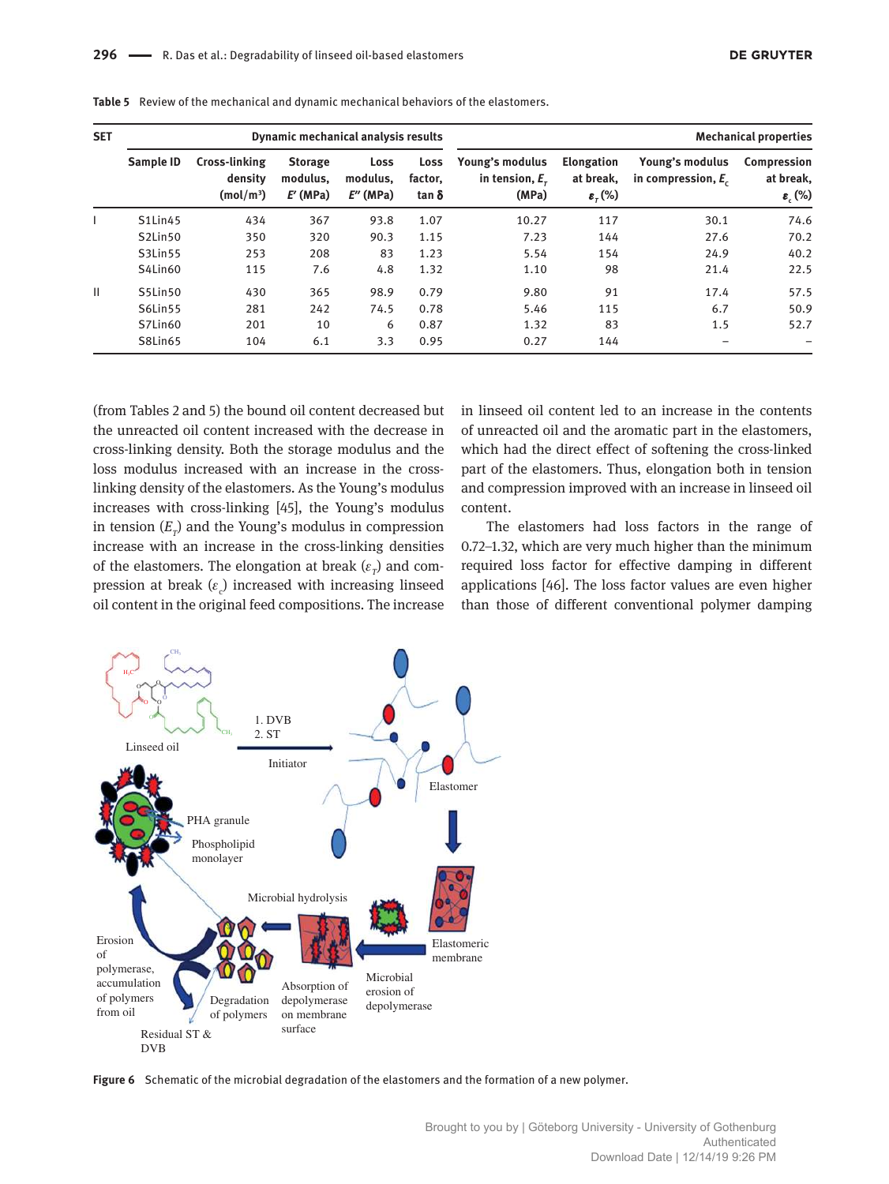| <b>SET</b>   | Dynamic mechanical analysis results |                                                   |                                          |                                              |                                 | <b>Mechanical properties</b>                 |                                                            |                                          |                                                       |
|--------------|-------------------------------------|---------------------------------------------------|------------------------------------------|----------------------------------------------|---------------------------------|----------------------------------------------|------------------------------------------------------------|------------------------------------------|-------------------------------------------------------|
|              | Sample ID                           | Cross-linking<br>density<br>(mol/m <sup>3</sup> ) | <b>Storage</b><br>modulus.<br>$E'$ (MPa) | Loss<br>modulus.<br>$E^{\prime\prime}$ (MPa) | Loss<br>factor,<br>tan $\delta$ | Young's modulus<br>in tension, $Er$<br>(MPa) | <b>Elongation</b><br>at break,<br>$\varepsilon_{\tau}$ (%) | Young's modulus<br>in compression, $E_c$ | Compression<br>at break,<br>$\varepsilon_{\rm c}$ (%) |
|              | S1Lin45                             | 434                                               | 367                                      | 93.8                                         | 1.07                            | 10.27                                        | 117                                                        | 30.1                                     | 74.6                                                  |
|              | S2Lin50                             | 350                                               | 320                                      | 90.3                                         | 1.15                            | 7.23                                         | 144                                                        | 27.6                                     | 70.2                                                  |
|              | S3Lin55                             | 253                                               | 208                                      | 83                                           | 1.23                            | 5.54                                         | 154                                                        | 24.9                                     | 40.2                                                  |
|              | S4Lin60                             | 115                                               | 7.6                                      | 4.8                                          | 1.32                            | 1.10                                         | 98                                                         | 21.4                                     | 22.5                                                  |
| $\mathbf{H}$ | S5Lin50                             | 430                                               | 365                                      | 98.9                                         | 0.79                            | 9.80                                         | 91                                                         | 17.4                                     | 57.5                                                  |
|              | S6Lin55                             | 281                                               | 242                                      | 74.5                                         | 0.78                            | 5.46                                         | 115                                                        | 6.7                                      | 50.9                                                  |
|              | S7Lin60                             | 201                                               | 10                                       | 6                                            | 0.87                            | 1.32                                         | 83                                                         | 1.5                                      | 52.7                                                  |
|              | S8Lin65                             | 104                                               | 6.1                                      | 3.3                                          | 0.95                            | 0.27                                         | 144                                                        | -                                        |                                                       |

**Table 5** Review of the mechanical and dynamic mechanical behaviors of the elastomers.

(from Tables 2 and 5) the bound oil content decreased but the unreacted oil content increased with the decrease in cross-linking density. Both the storage modulus and the loss modulus increased with an increase in the crosslinking density of the elastomers. As the Young's modulus increases with cross-linking [45], the Young's modulus in tension  $(E_{\scriptscriptstyle T})$  and the Young's modulus in compression increase with an increase in the cross-linking densities of the elastomers. The elongation at break  $(\varepsilon_p)$  and compression at break  $(\varepsilon_{\rm c})$  increased with increasing linseed oil content in the original feed compositions. The increase

in linseed oil content led to an increase in the contents of unreacted oil and the aromatic part in the elastomers, which had the direct effect of softening the cross-linked part of the elastomers. Thus, elongation both in tension and compression improved with an increase in linseed oil content.

The elastomers had loss factors in the range of 0.72–1.32, which are very much higher than the minimum required loss factor for effective damping in different applications [46]. The loss factor values are even higher than those of different conventional polymer damping



**Figure 6** Schematic of the microbial degradation of the elastomers and the formation of a new polymer.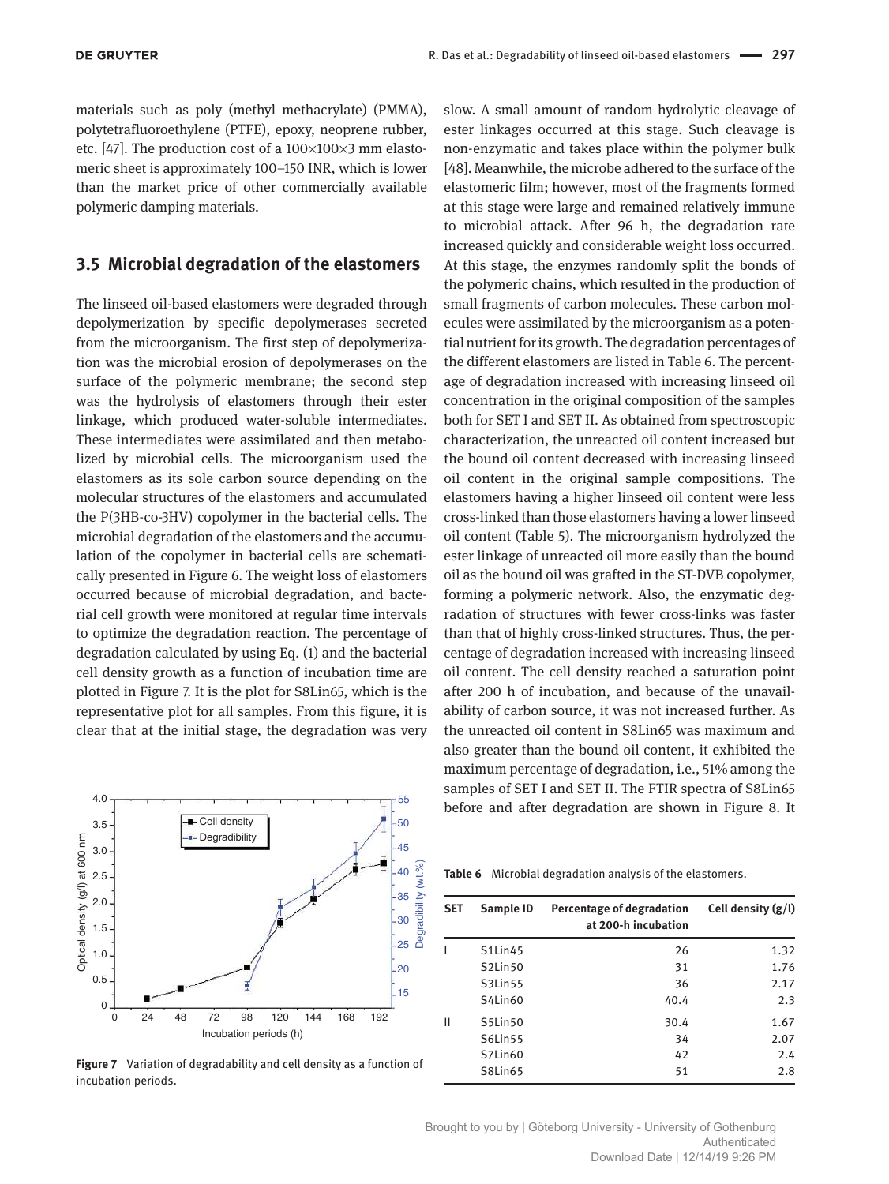materials such as poly (methyl methacrylate) (PMMA), polytetrafluoroethylene (PTFE), epoxy, neoprene rubber, etc. [47]. The production cost of a  $100\times100\times3$  mm elastomeric sheet is approximately 100–150 INR, which is lower than the market price of other commercially available poly meric damping materials.

#### **3.5 Microbial degradation of the elastomers**

The linseed oil-based elastomers were degraded through depolymerization by specific depolymerases secreted from the microorganism. The first step of depolymerization was the microbial erosion of depolymerases on the surface of the polymeric membrane; the second step was the hydrolysis of elastomers through their ester linkage, which produced water-soluble intermediates. These intermediates were assimilated and then metabolized by microbial cells. The microorganism used the elastomers as its sole carbon source depending on the molecular structures of the elastomers and accumulated the P(3HB-co-3HV) copolymer in the bacterial cells. The microbial degradation of the elastomers and the accumulation of the copolymer in bacterial cells are schematically presented in Figure 6. The weight loss of elastomers occurred because of microbial degradation, and bacterial cell growth were monitored at regular time intervals to optimize the degradation reaction. The percentage of degradation calculated by using Eq. (1) and the bacterial cell density growth as a function of incubation time are plotted in Figure 7. It is the plot for S8Lin65, which is the representative plot for all samples. From this figure, it is clear that at the initial stage, the degradation was very

slow. A small amount of random hydrolytic cleavage of ester linkages occurred at this stage. Such cleavage is non-enzymatic and takes place within the polymer bulk [48]. Meanwhile, the microbe adhered to the surface of the elastomeric film; however, most of the fragments formed at this stage were large and remained relatively immune to microbial attack. After 96 h, the degradation rate increased quickly and considerable weight loss occurred. At this stage, the enzymes randomly split the bonds of the polymeric chains, which resulted in the production of small fragments of carbon molecules. These carbon molecules were assimilated by the microorganism as a potential nutrient for its growth. The degradation percentages of the different elastomers are listed in Table 6. The percentage of degradation increased with increasing linseed oil concentration in the original composition of the samples both for SET I and SET II. As obtained from spectroscopic characterization, the unreacted oil content increased but the bound oil content decreased with increasing linseed oil content in the original sample compositions. The elastomers having a higher linseed oil content were less cross-linked than those elastomers having a lower linseed oil content (Table 5). The microorganism hydrolyzed the ester linkage of unreacted oil more easily than the bound oil as the bound oil was grafted in the ST-DVB copolymer, forming a polymeric network. Also, the enzymatic degradation of structures with fewer cross-links was faster than that of highly cross-linked structures. Thus, the percentage of degradation increased with increasing linseed oil content. The cell density reached a saturation point after 200 h of incubation, and because of the unavailability of carbon source, it was not increased further. As the unreacted oil content in S8Lin65 was maximum and also greater than the bound oil content, it exhibited the maximum percentage of degradation, i.e., 51% among the samples of SET I and SET II. The FTIR spectra of S8Lin65 before and after degradation are shown in Figure 8. It



**Figure 7** Variation of degradability and cell density as a function of incubation periods.

**Table 6** Microbial degradation analysis of the elastomers.

| <b>SET</b> | Sample ID                        | Percentage of degradation<br>at 200-h incubation | Cell density $(g/l)$ |
|------------|----------------------------------|--------------------------------------------------|----------------------|
|            | S1Lin45                          | 26                                               | 1.32                 |
|            | S <sub>2</sub> Lin <sub>50</sub> | 31                                               | 1.76                 |
|            | S3Lin55                          | 36                                               | 2.17                 |
|            | S4Lin60                          | 40.4                                             | 2.3                  |
| Ш          | S5Lin50                          | 30.4                                             | 1.67                 |
|            | S6Lin55                          | 34                                               | 2.07                 |
|            | S7Lin60                          | 42                                               | 2.4                  |
|            | S8Lin65                          | 51                                               | 2.8                  |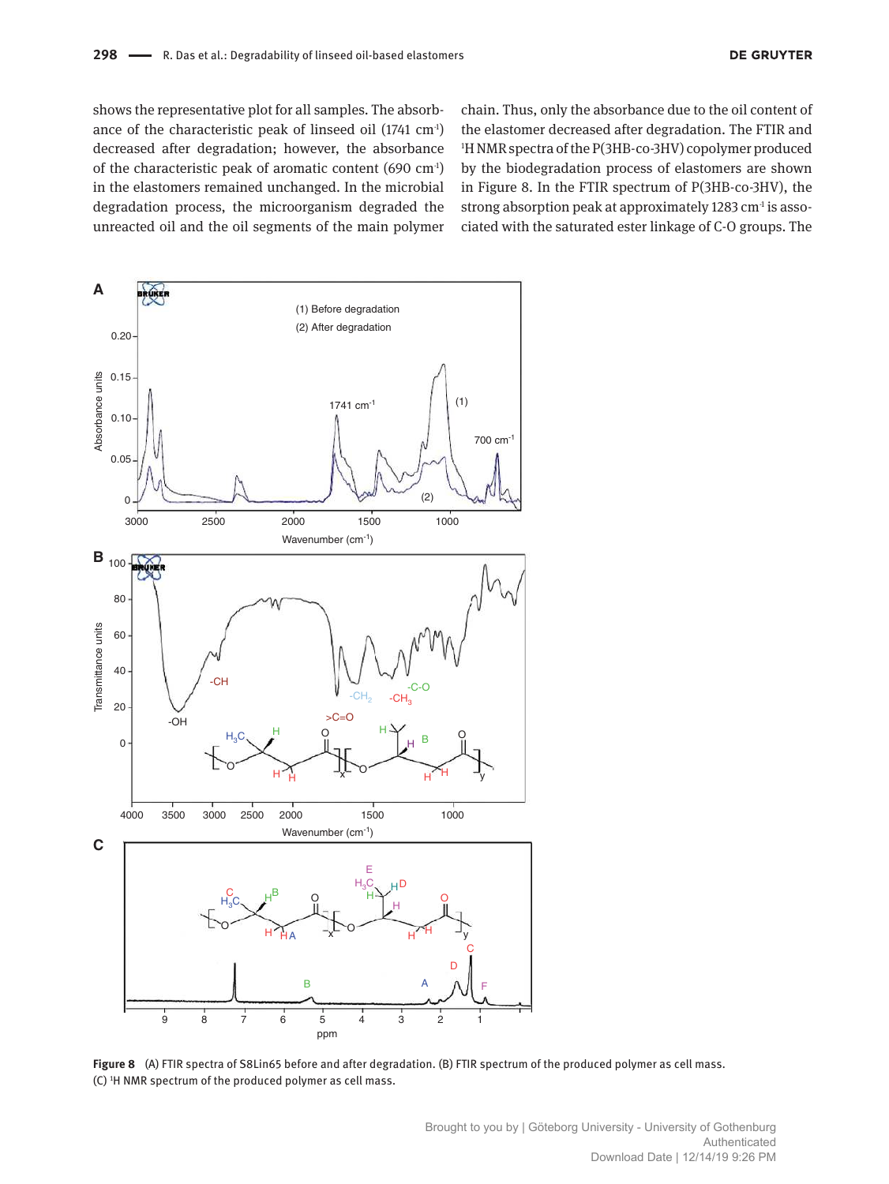shows the representative plot for all samples. The absorbance of the characteristic peak of linseed oil (1741 cm<sup>-1</sup>) decreased after degradation; however, the absorbance of the characteristic peak of aromatic content (690 cm-1) in the elastomers remained unchanged. In the microbial degradation process, the microorganism degraded the unreacted oil and the oil segments of the main polymer chain. Thus, only the absorbance due to the oil content of the elastomer decreased after degradation. The FTIR and <sup>1</sup>H NMR spectra of the P(3HB-co-3HV) copolymer produced by the biodegradation process of elastomers are shown in Figure 8. In the FTIR spectrum of P(3HB-co-3HV), the strong absorption peak at approximately 1283 cm<sup>-1</sup> is associated with the saturated ester linkage of C-O groups. The



**Figure 8** (A) FTIR spectra of S8Lin65 before and after degradation. (B) FTIR spectrum of the produced polymer as cell mass. (C) <sup>1</sup>H NMR spectrum of the produced polymer as cell mass.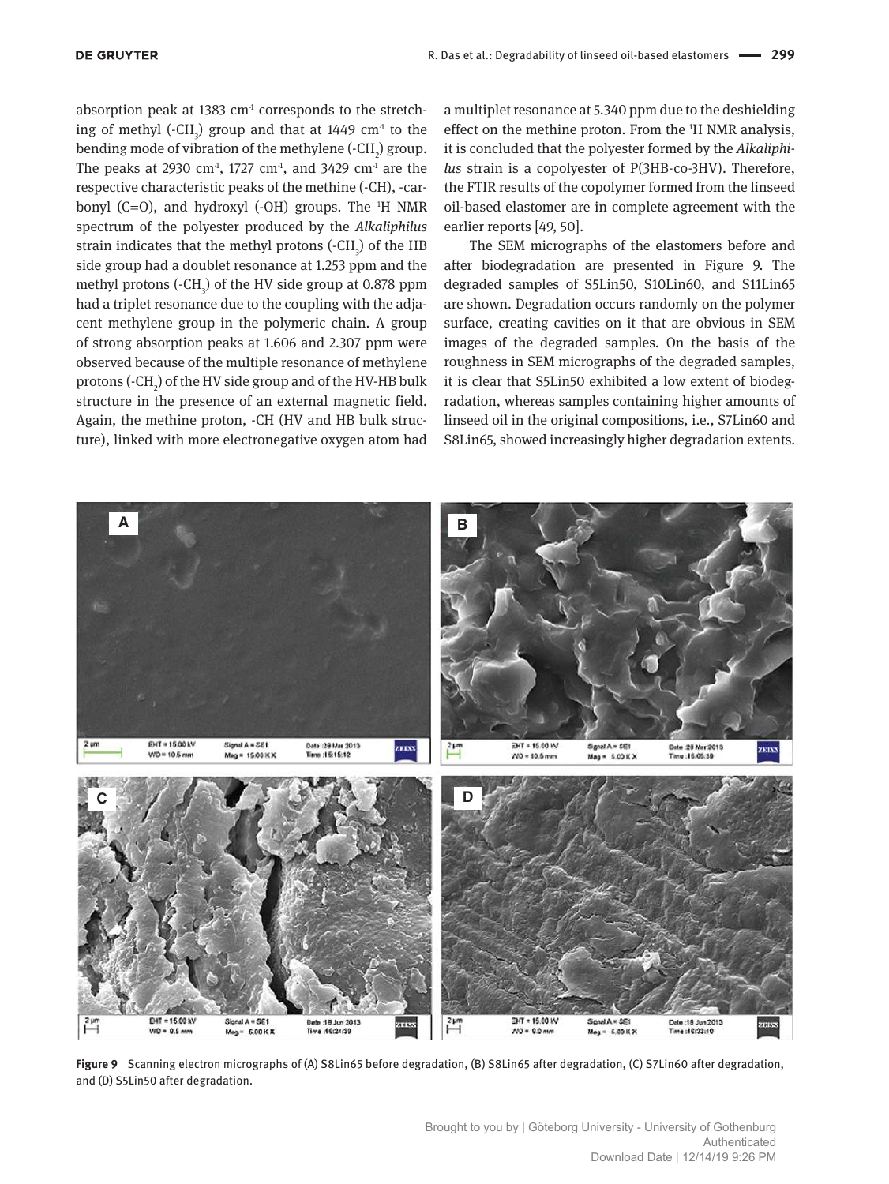absorption peak at 1383  $cm<sup>1</sup>$  corresponds to the stretching of methyl  $(-CH_3)$  group and that at 1449  $cm<sup>-1</sup>$  to the bending mode of vibration of the methylene (-CH<sub>2</sub>) group. The peaks at 2930 cm<sup>-1</sup>, 1727 cm<sup>-1</sup>, and 3429 cm<sup>-1</sup> are the respective characteristic peaks of the methine (-CH), -carbonyl (C=O), and hydroxyl (-OH) groups. The  $H$  NMR spectrum of the polyester produced by the *Alkaliphilus* strain indicates that the methyl protons  $(-CH_3)$  of the HB side group had a doublet resonance at 1.253 ppm and the methyl protons  $(-CH_3)$  of the HV side group at 0.878 ppm had a triplet resonance due to the coupling with the adjacent methylene group in the polymeric chain. A group of strong absorption peaks at 1.606 and 2.307 ppm were observed because of the multiple resonance of methylene protons (-CH<sub>2</sub>) of the HV side group and of the HV-HB bulk structure in the presence of an external magnetic field. Again, the methine proton, -CH (HV and HB bulk structure), linked with more electronegative oxygen atom had

a multiplet resonance at 5.340 ppm due to the deshielding effect on the methine proton. From the 1H NMR analysis, it is concluded that the polyester formed by the *Alkaliphilus* strain is a copolyester of P(3HB-co-3HV). Therefore, the FTIR results of the copolymer formed from the linseed oil-based elastomer are in complete agreement with the earlier reports [49, 50].

The SEM micrographs of the elastomers before and after biodegradation are presented in Figure 9. The degraded samples of S5Lin50, S10Lin60, and S11Lin65 are shown. Degradation occurs randomly on the polymer surface, creating cavities on it that are obvious in SEM images of the degraded samples. On the basis of the roughness in SEM micrographs of the degraded samples, it is clear that S5Lin50 exhibited a low extent of biodegradation, whereas samples containing higher amounts of linseed oil in the original compositions, i.e., S7Lin60 and S8Lin65, showed increasingly higher degradation extents.



Figure 9 Scanning electron micrographs of (A) S8Lin65 before degradation, (B) S8Lin65 after degradation, (C) S7Lin60 after degradation, and (D) S5Lin50 after degradation.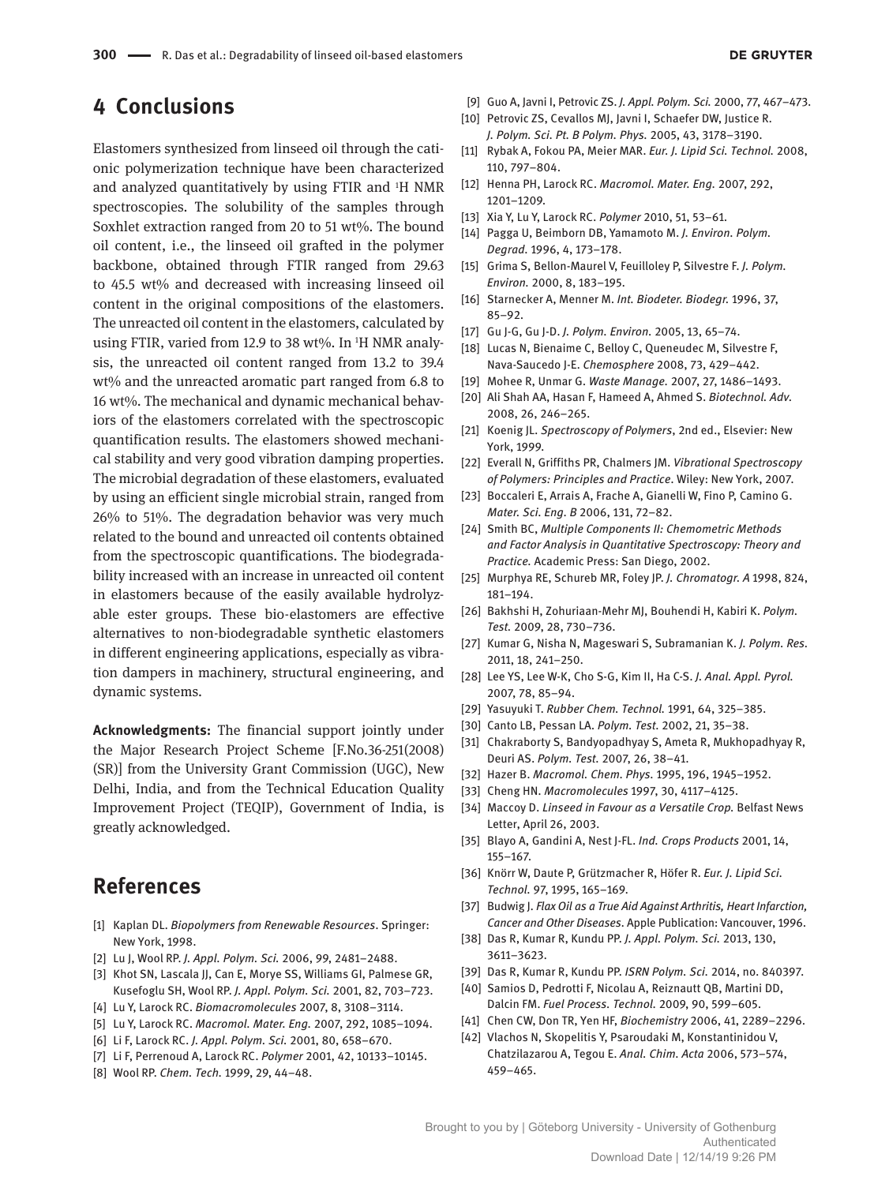# **4 Conclusions**

Elastomers synthesized from linseed oil through the cationic polymerization technique have been characterized and analyzed quantitatively by using FTIR and 1H NMR spectroscopies. The solubility of the samples through Soxhlet extraction ranged from 20 to 51 wt%. The bound oil content, i.e., the linseed oil grafted in the polymer backbone, obtained through FTIR ranged from 29.63 to 45.5 wt% and decreased with increasing linseed oil content in the original compositions of the elastomers. The unreacted oil content in the elastomers, calculated by using FTIR, varied from 12.9 to 38 wt%. In <sup>1</sup>H NMR analysis, the unreacted oil content ranged from 13.2 to 39.4 wt% and the unreacted aromatic part ranged from 6.8 to 16 wt%. The mechanical and dynamic mechanical behaviors of the elastomers correlated with the spectroscopic quantification results. The elastomers showed mechanical stability and very good vibration damping properties. The microbial degradation of these elastomers, evaluated by using an efficient single microbial strain, ranged from 26% to 51%. The degradation behavior was very much related to the bound and unreacted oil contents obtained from the spectroscopic quantifications. The biodegradability increased with an increase in unreacted oil content in elastomers because of the easily available hydrolyzable ester groups. These bio-elastomers are effective alternatives to non-biodegradable synthetic elastomers in different engineering applications, especially as vibration dampers in machinery, structural engineering, and dynamic systems.

**Acknowledgments:** The financial support jointly under the Major Research Project Scheme [F.No.36-251(2008) (SR)] from the University Grant Commission (UGC), New Delhi, India, and from the Technical Education Quality Improvement Project (TEQIP), Government of India, is greatly acknowledged.

# **References**

- [1] Kaplan DL. *Biopolymers from Renewable Resources*. Springer: New York, 1998.
- [2] Lu J, Wool RP. *J. Appl. Polym. Sci.* 2006, 99, 2481–2488.
- [3] Khot SN, Lascala JJ, Can E, Morye SS, Williams GI, Palmese GR, Kusefoglu SH, Wool RP. *J. Appl. Polym. Sci.* 2001, 82, 703–723.
- [4] Lu Y, Larock RC. *Biomacromolecules* 2007, 8, 3108–3114.
- [5] Lu Y, Larock RC. *Macromol. Mater. Eng.* 2007, 292, 1085–1094.
- [6] Li F, Larock RC. *J. Appl. Polym. Sci.* 2001, 80, 658–670.
- [7] Li F, Perrenoud A, Larock RC. *Polymer* 2001, 42, 10133–10145.
- [8] Wool RP. *Chem. Tech.* 1999, 29, 44–48.
- [9] Guo A, Javni I, Petrovic ZS. *J. Appl. Polym. Sci.* 2000, 77, 467–473.
- [10] Petrovic ZS, Cevallos MJ, Javni I, Schaefer DW, Justice R. *J. Polym. Sci. Pt. B Polym. Phys.* 2005, 43, 3178–3190.
- [11] Rybak A, Fokou PA, Meier MAR. *Eur. J. Lipid Sci. Technol.* 2008, 110, 797–804.
- [12] Henna PH, Larock RC. *Macromol. Mater. Eng.* 2007, 292, 1201–1209.
- [13] Xia Y, Lu Y, Larock RC. *Polymer* 2010, 51, 53–61.
- [14] Pagga U, Beimborn DB, Yamamoto M. *J. Environ. Polym. Degrad.* 1996, 4, 173–178.
- [15] Grima S, Bellon-Maurel V, Feuilloley P, Silvestre F. *J. Polym. Environ.* 2000, 8, 183–195.
- [16] Starnecker A, Menner M. *Int. Biodeter. Biodegr.* 1996, 37, 85–92.
- [17] Gu J-G, Gu J-D. *J. Polym. Environ.* 2005, 13, 65–74.
- [18] Lucas N, Bienaime C, Belloy C, Queneudec M, Silvestre F, Nava-Saucedo J-E. *Chemosphere* 2008, 73, 429–442.
- [19] Mohee R, Unmar G. *Waste Manage.* 2007, 27, 1486–1493.
- [20] Ali Shah AA, Hasan F, Hameed A, Ahmed S. *Biotechnol. Adv.* 2008, 26, 246–265.
- [21] Koenig JL. *Spectroscopy of Polymers*, 2nd ed., Elsevier: New York, 1999.
- [22] Everall N, Griffiths PR, Chalmers JM. *Vibrational Spectroscopy of Polymers: Principles and Practice*. Wiley: New York, 2007.
- [23] Boccaleri E, Arrais A, Frache A, Gianelli W, Fino P, Camino G. *Mater. Sci. Eng. B* 2006, 131, 72–82.
- [24] Smith BC, *Multiple Components II: Chemometric Methods and Factor Analysis in Quantitative Spectroscopy: Theory and Practice.* Academic Press: San Diego, 2002.
- [25] Murphya RE, Schureb MR, Foley JP. *J. Chromatogr. A* 1998, 824, 181–194.
- [26] Bakhshi H, Zohuriaan-Mehr MJ, Bouhendi H, Kabiri K. *Polym. Test.* 2009, 28, 730–736.
- [27] Kumar G, Nisha N, Mageswari S, Subramanian K. *J. Polym. Res.* 2011, 18, 241–250.
- [28] Lee YS, Lee W-K, Cho S-G, Kim II, Ha C-S. *J. Anal. Appl. Pyrol.* 2007, 78, 85–94.
- [29] Yasuyuki T. *Rubber Chem. Technol.* 1991, 64, 325–385.
- [30] Canto LB, Pessan LA. *Polym. Test.* 2002, 21, 35–38.
- [31] Chakraborty S, Bandyopadhyay S, Ameta R, Mukhopadhyay R, Deuri AS. *Polym. Test.* 2007, 26, 38–41.
- [32] Hazer B. *Macromol. Chem. Phys.* 1995, 196, 1945–1952.
- [33] Cheng HN. *Macromolecules* 1997, 30, 4117–4125.
- [34] Maccoy D. *Linseed in Favour as a Versatile Crop.* Belfast News Letter, April 26, 2003.
- [35] Blayo A, Gandini A, Nest J-FL. *Ind. Crops Products* 2001, 14, 155–167.
- [36] Knörr W, Daute P, Grützmacher R, Höfer R. *Eur. J. Lipid Sci. Technol.* 97, 1995, 165–169.
- [37] Budwig J. *Flax Oil as a True Aid Against Arthritis, Heart Infarction, Cancer and Other Diseases*. Apple Publication: Vancouver, 1996.
- [38] Das R, Kumar R, Kundu PP. *J. Appl. Polym. Sci.* 2013, 130, 3611–3623.
- [39] Das R, Kumar R, Kundu PP. *ISRN Polym. Sci.* 2014, no. 840397.
- [40] Samios D, Pedrotti F, Nicolau A, Reiznautt QB, Martini DD, Dalcin FM. *Fuel Process. Technol.* 2009, 90, 599–605.
- [41] Chen CW, Don TR, Yen HF, *Biochemistry* 2006, 41, 2289–2296.
- [42] Vlachos N, Skopelitis Y, Psaroudaki M, Konstantinidou V, Chatzilazarou A, Tegou E. *Anal. Chim. Acta* 2006, 573–574, 459–465.